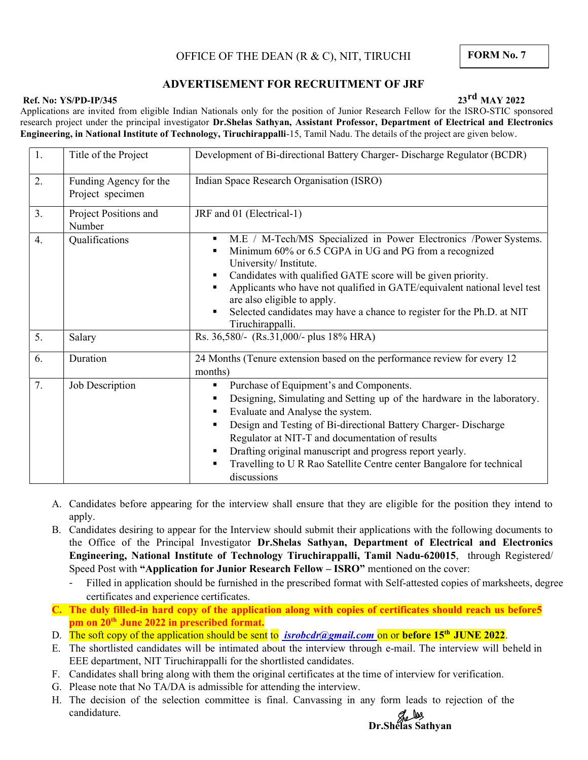# OFFICE OF THE DEAN (R & C), NIT, TIRUCHI

### ADVERTISEMENT FOR RECRUITMENT OF JRF

### Ref. No: YS/PD-IP/345 23rd MAY 2022

Applications are invited from eligible Indian Nationals only for the position of Junior Research Fellow for the ISRO-STIC sponsored research project under the principal investigator Dr.Shelas Sathyan, Assistant Professor, Department of Electrical and Electronics Engineering, in National Institute of Technology, Tiruchirappalli-15, Tamil Nadu. The details of the project are given below.

| 1.               | Title of the Project                       | Development of Bi-directional Battery Charger-Discharge Regulator (BCDR)                                                                                                                                                                                                                                                                                                                                                         |
|------------------|--------------------------------------------|----------------------------------------------------------------------------------------------------------------------------------------------------------------------------------------------------------------------------------------------------------------------------------------------------------------------------------------------------------------------------------------------------------------------------------|
| 2.               | Funding Agency for the<br>Project specimen | Indian Space Research Organisation (ISRO)                                                                                                                                                                                                                                                                                                                                                                                        |
| 3.               | Project Positions and<br>Number            | JRF and 01 (Electrical-1)                                                                                                                                                                                                                                                                                                                                                                                                        |
| $\overline{4}$ . | Qualifications                             | M.E / M-Tech/MS Specialized in Power Electronics /Power Systems.<br>Minimum 60% or 6.5 CGPA in UG and PG from a recognized<br>University/Institute.<br>Candidates with qualified GATE score will be given priority.<br>Applicants who have not qualified in GATE/equivalent national level test<br>are also eligible to apply.<br>Selected candidates may have a chance to register for the Ph.D. at NIT<br>Tiruchirappalli.     |
| 5.               | Salary                                     | Rs. 36,580/- (Rs.31,000/- plus 18% HRA)                                                                                                                                                                                                                                                                                                                                                                                          |
| 6.               | Duration                                   | 24 Months (Tenure extension based on the performance review for every 12<br>months)                                                                                                                                                                                                                                                                                                                                              |
| 7.               | Job Description                            | Purchase of Equipment's and Components.<br>Designing, Simulating and Setting up of the hardware in the laboratory.<br>Evaluate and Analyse the system.<br>Design and Testing of Bi-directional Battery Charger- Discharge<br>Regulator at NIT-T and documentation of results<br>Drafting original manuscript and progress report yearly.<br>Travelling to U R Rao Satellite Centre center Bangalore for technical<br>discussions |

- A. Candidates before appearing for the interview shall ensure that they are eligible for the position they intend to apply.
- B. Candidates desiring to appear for the Interview should submit their applications with the following documents to the Office of the Principal Investigator Dr.Shelas Sathyan, Department of Electrical and Electronics Engineering, National Institute of Technology Tiruchirappalli, Tamil Nadu-620015, through Registered/ Speed Post with "Application for Junior Research Fellow – ISRO" mentioned on the cover:
	- Filled in application should be furnished in the prescribed format with Self-attested copies of marksheets, degree certificates and experience certificates.
- C. The duly filled-in hard copy of the application along with copies of certificates should reach us before 5 pm on 20<sup>th</sup> June 2022 in prescribed format.
- D. The soft copy of the application should be sent to *isrobedr@gmail.com* on or **before 15<sup>th</sup>** JUNE 2022.
- E. The shortlisted candidates will be intimated about the interview through e-mail. The interview will be held in EEE department, NIT Tiruchirappalli for the shortlisted candidates.
- F. Candidates shall bring along with them the original certificates at the time of interview for verification.
- G. Please note that No TA/DA is admissible for attending the interview.
- H. The decision of the selection committee is final. Canvassing in any form leads to rejection of the candidature.

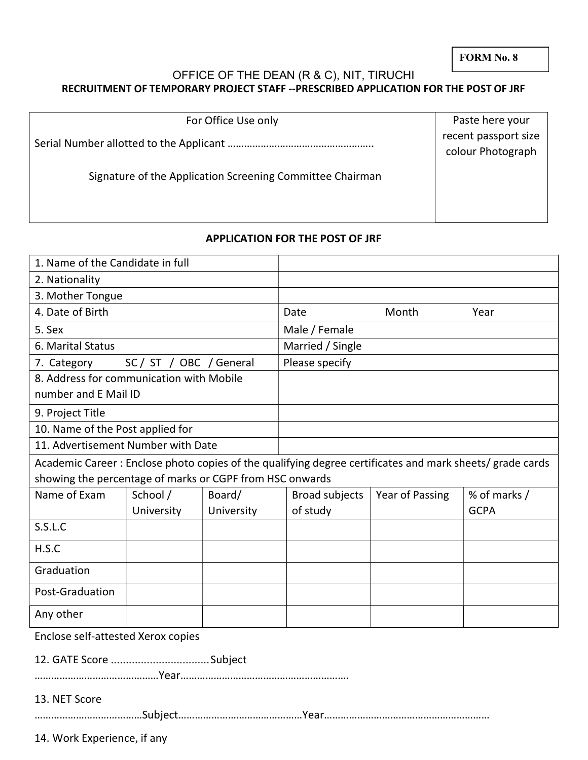### OFFICE OF THE DEAN (R & C), NIT, TIRUCHI RECRUITMENT OF TEMPORARY PROJECT STAFF --PRESCRIBED APPLICATION FOR THE POST OF JRF

| For Office Use only                                       | Paste here your                           |
|-----------------------------------------------------------|-------------------------------------------|
|                                                           | recent passport size<br>colour Photograph |
| Signature of the Application Screening Committee Chairman |                                           |
|                                                           |                                           |

## APPLICATION FOR THE POST OF JRF

| 1. Name of the Candidate in full                                                                         |            |            |                       |                 |              |
|----------------------------------------------------------------------------------------------------------|------------|------------|-----------------------|-----------------|--------------|
| 2. Nationality                                                                                           |            |            |                       |                 |              |
| 3. Mother Tongue                                                                                         |            |            |                       |                 |              |
| 4. Date of Birth                                                                                         |            |            | Date                  | Month           | Year         |
| 5. Sex                                                                                                   |            |            | Male / Female         |                 |              |
| 6. Marital Status                                                                                        |            |            | Married / Single      |                 |              |
| 7. Category<br>SC / ST / OBC / General                                                                   |            |            | Please specify        |                 |              |
| 8. Address for communication with Mobile                                                                 |            |            |                       |                 |              |
| number and E Mail ID                                                                                     |            |            |                       |                 |              |
| 9. Project Title                                                                                         |            |            |                       |                 |              |
| 10. Name of the Post applied for                                                                         |            |            |                       |                 |              |
| 11. Advertisement Number with Date                                                                       |            |            |                       |                 |              |
| Academic Career: Enclose photo copies of the qualifying degree certificates and mark sheets/ grade cards |            |            |                       |                 |              |
| showing the percentage of marks or CGPF from HSC onwards                                                 |            |            |                       |                 |              |
| Name of Exam                                                                                             | School /   | Board/     | <b>Broad subjects</b> | Year of Passing | % of marks / |
|                                                                                                          | University | University | of study              |                 | <b>GCPA</b>  |
| S.S.L.C                                                                                                  |            |            |                       |                 |              |
| H.S.C                                                                                                    |            |            |                       |                 |              |
| Graduation                                                                                               |            |            |                       |                 |              |
| Post-Graduation                                                                                          |            |            |                       |                 |              |
| Any other                                                                                                |            |            |                       |                 |              |
| Enclose self-attested Xerox copies                                                                       |            |            |                       |                 |              |
| 12. GATE Score Subject                                                                                   |            |            |                       |                 |              |
| 13. NET Score                                                                                            |            |            |                       |                 |              |
|                                                                                                          |            |            |                       |                 |              |
|                                                                                                          |            |            |                       |                 |              |

14. Work Experience, if any